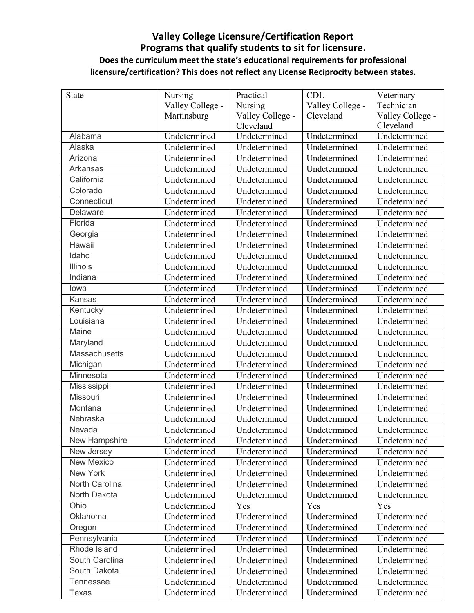## **Valley College Licensure/Certification Report Programs that qualify students to sit for licensure. Does the curriculum meet the state's educational requirements for professional licensure/certification? This does not reflect any License Reciprocity between states.**

| <b>State</b>     | Nursing          | Practical        | <b>CDL</b>       | Veterinary       |
|------------------|------------------|------------------|------------------|------------------|
|                  | Valley College - | Nursing          | Valley College - | Technician       |
|                  | Martinsburg      | Valley College - | Cleveland        | Valley College - |
|                  |                  | Cleveland        |                  | Cleveland        |
| Alabama          | Undetermined     | Undetermined     | Undetermined     | Undetermined     |
| Alaska           | Undetermined     | Undetermined     | Undetermined     | Undetermined     |
| Arizona          | Undetermined     | Undetermined     | Undetermined     | Undetermined     |
| Arkansas         | Undetermined     | Undetermined     | Undetermined     | Undetermined     |
| California       | Undetermined     | Undetermined     | Undetermined     | Undetermined     |
| Colorado         | Undetermined     | Undetermined     | Undetermined     | Undetermined     |
| Connecticut      | Undetermined     | Undetermined     | Undetermined     | Undetermined     |
| Delaware         | Undetermined     | Undetermined     | Undetermined     | Undetermined     |
| Florida          | Undetermined     | Undetermined     | Undetermined     | Undetermined     |
| Georgia          | Undetermined     | Undetermined     | Undetermined     | Undetermined     |
| Hawaii           | Undetermined     | Undetermined     | Undetermined     | Undetermined     |
| Idaho            | Undetermined     | Undetermined     | Undetermined     | Undetermined     |
| <b>Illinois</b>  | Undetermined     | Undetermined     | Undetermined     | Undetermined     |
| Indiana          | Undetermined     | Undetermined     | Undetermined     | Undetermined     |
| lowa             | Undetermined     | Undetermined     | Undetermined     | Undetermined     |
| Kansas           | Undetermined     | Undetermined     | Undetermined     | Undetermined     |
| Kentucky         | Undetermined     | Undetermined     | Undetermined     | Undetermined     |
| Louisiana        | Undetermined     | Undetermined     | Undetermined     | Undetermined     |
| Maine            | Undetermined     | Undetermined     | Undetermined     | Undetermined     |
| Maryland         | Undetermined     | Undetermined     | Undetermined     | Undetermined     |
| Massachusetts    | Undetermined     | Undetermined     | Undetermined     | Undetermined     |
| Michigan         | Undetermined     | Undetermined     | Undetermined     | Undetermined     |
| Minnesota        | Undetermined     | Undetermined     | Undetermined     | Undetermined     |
| Mississippi      | Undetermined     | Undetermined     | Undetermined     | Undetermined     |
| Missouri         | Undetermined     | Undetermined     | Undetermined     | Undetermined     |
| Montana          | Undetermined     | Undetermined     | Undetermined     | Undetermined     |
| Nebraska         | Undetermined     | Undetermined     | Undetermined     | Undetermined     |
| Nevada           | Undetermined     | Undetermined     | Undetermined     | Undetermined     |
| New Hampshire    | Undetermined     | Undetermined     | Undetermined     | Undetermined     |
| New Jersey       | Undetermined     | Undetermined     | Undetermined     | Undetermined     |
| New Mexico       | Undetermined     | Undetermined     | Undetermined     | Undetermined     |
| New York         | Undetermined     | Undetermined     | Undetermined     | Undetermined     |
| North Carolina   | Undetermined     | Undetermined     | Undetermined     | Undetermined     |
| North Dakota     | Undetermined     | Undetermined     | Undetermined     | Undetermined     |
| Ohio             | Undetermined     | Yes              | Yes              | Yes              |
| Oklahoma         | Undetermined     | Undetermined     | Undetermined     | Undetermined     |
| Oregon           | Undetermined     | Undetermined     | Undetermined     | Undetermined     |
| Pennsylvania     | Undetermined     | Undetermined     | Undetermined     | Undetermined     |
| Rhode Island     | Undetermined     | Undetermined     | Undetermined     | Undetermined     |
| South Carolina   | Undetermined     | Undetermined     | Undetermined     | Undetermined     |
| South Dakota     | Undetermined     | Undetermined     | Undetermined     | Undetermined     |
| <b>Tennessee</b> | Undetermined     | Undetermined     | Undetermined     | Undetermined     |
| Texas            | Undetermined     | Undetermined     | Undetermined     | Undetermined     |